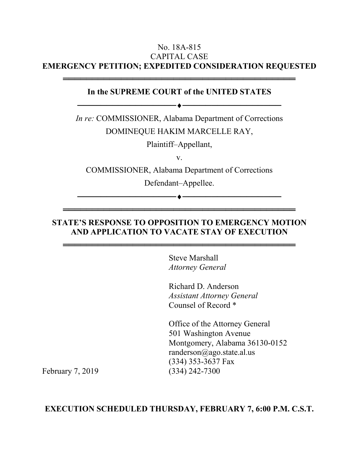### No. 18A-815 CAPITAL CASE **EMERGENCY PETITION; EXPEDITED CONSIDERATION REQUESTED**

#### **In the SUPREME COURT of the UNITED STATES**

──────────────────────────────────

════════════════════════════════════════

*In re:* COMMISSIONER, Alabama Department of Corrections DOMINEQUE HAKIM MARCELLE RAY,

Plaintiff–Appellant,

v.

COMMISSIONER, Alabama Department of Corrections

Defendant–Appellee.

# **STATE'S RESPONSE TO OPPOSITION TO EMERGENCY MOTION AND APPLICATION TO VACATE STAY OF EXECUTION**

════════════════════════════════════════

════════════════════════════════════════

Steve Marshall *Attorney General* 

Richard D. Anderson *Assistant Attorney General*  Counsel of Record \*

────────<del>─</del>

Office of the Attorney General 501 Washington Avenue Montgomery, Alabama 36130-0152 randerson@ago.state.al.us (334) 353-3637 Fax February 7, 2019 (334) 242-7300

#### **EXECUTION SCHEDULED THURSDAY, FEBRUARY 7, 6:00 P.M. C.S.T.**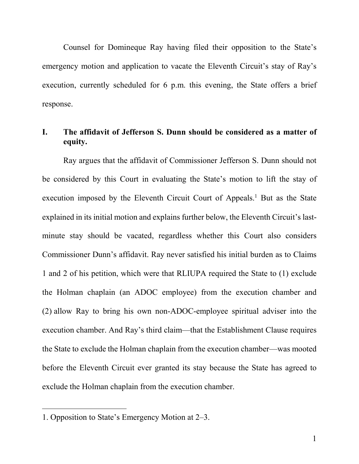Counsel for Domineque Ray having filed their opposition to the State's emergency motion and application to vacate the Eleventh Circuit's stay of Ray's execution, currently scheduled for 6 p.m. this evening, the State offers a brief response.

# **I. The affidavit of Jefferson S. Dunn should be considered as a matter of equity.**

 Ray argues that the affidavit of Commissioner Jefferson S. Dunn should not be considered by this Court in evaluating the State's motion to lift the stay of execution imposed by the Eleventh Circuit Court of Appeals.<sup>1</sup> But as the State explained in its initial motion and explains further below, the Eleventh Circuit's lastminute stay should be vacated, regardless whether this Court also considers Commissioner Dunn's affidavit. Ray never satisfied his initial burden as to Claims 1 and 2 of his petition, which were that RLIUPA required the State to (1) exclude the Holman chaplain (an ADOC employee) from the execution chamber and (2) allow Ray to bring his own non-ADOC-employee spiritual adviser into the execution chamber. And Ray's third claim—that the Establishment Clause requires the State to exclude the Holman chaplain from the execution chamber—was mooted before the Eleventh Circuit ever granted its stay because the State has agreed to exclude the Holman chaplain from the execution chamber.

<sup>1.</sup> Opposition to State's Emergency Motion at 2–3.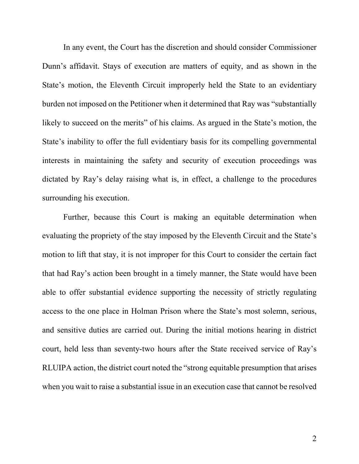In any event, the Court has the discretion and should consider Commissioner Dunn's affidavit. Stays of execution are matters of equity, and as shown in the State's motion, the Eleventh Circuit improperly held the State to an evidentiary burden not imposed on the Petitioner when it determined that Ray was "substantially likely to succeed on the merits" of his claims. As argued in the State's motion, the State's inability to offer the full evidentiary basis for its compelling governmental interests in maintaining the safety and security of execution proceedings was dictated by Ray's delay raising what is, in effect, a challenge to the procedures surrounding his execution.

 Further, because this Court is making an equitable determination when evaluating the propriety of the stay imposed by the Eleventh Circuit and the State's motion to lift that stay, it is not improper for this Court to consider the certain fact that had Ray's action been brought in a timely manner, the State would have been able to offer substantial evidence supporting the necessity of strictly regulating access to the one place in Holman Prison where the State's most solemn, serious, and sensitive duties are carried out. During the initial motions hearing in district court, held less than seventy-two hours after the State received service of Ray's RLUIPA action, the district court noted the "strong equitable presumption that arises when you wait to raise a substantial issue in an execution case that cannot be resolved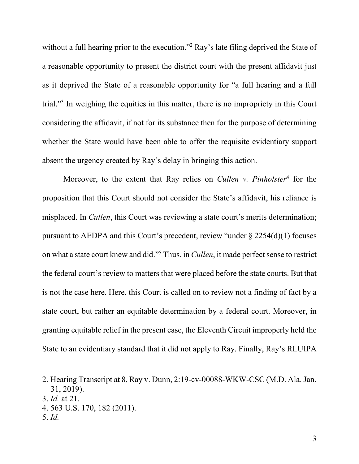without a full hearing prior to the execution."<sup>2</sup> Ray's late filing deprived the State of a reasonable opportunity to present the district court with the present affidavit just as it deprived the State of a reasonable opportunity for "a full hearing and a full trial."<sup>3</sup> In weighing the equities in this matter, there is no impropriety in this Court considering the affidavit, if not for its substance then for the purpose of determining whether the State would have been able to offer the requisite evidentiary support absent the urgency created by Ray's delay in bringing this action.

Moreover, to the extent that Ray relies on *Cullen v. Pinholster*<sup>4</sup> for the proposition that this Court should not consider the State's affidavit, his reliance is misplaced. In *Cullen*, this Court was reviewing a state court's merits determination; pursuant to AEDPA and this Court's precedent, review "under § 2254(d)(1) focuses on what a state court knew and did."<sup>5</sup> Thus, in *Cullen*, it made perfect sense to restrict the federal court's review to matters that were placed before the state courts. But that is not the case here. Here, this Court is called on to review not a finding of fact by a state court, but rather an equitable determination by a federal court. Moreover, in granting equitable relief in the present case, the Eleventh Circuit improperly held the State to an evidentiary standard that it did not apply to Ray. Finally, Ray's RLUIPA

<sup>2.</sup> Hearing Transcript at 8, Ray v. Dunn, 2:19-cv-00088-WKW-CSC (M.D. Ala. Jan. 31, 2019).

<sup>3.</sup> *Id.* at 21.

<sup>4. 563</sup> U.S. 170, 182 (2011).

<sup>5.</sup> *Id.*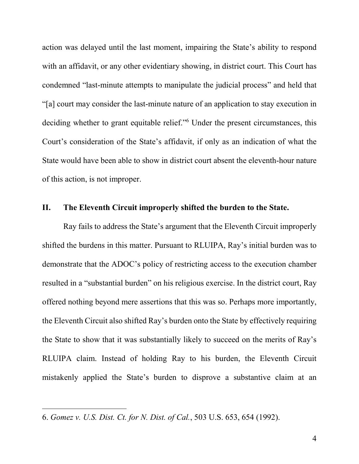action was delayed until the last moment, impairing the State's ability to respond with an affidavit, or any other evidentiary showing, in district court. This Court has condemned "last-minute attempts to manipulate the judicial process" and held that "[a] court may consider the last-minute nature of an application to stay execution in deciding whether to grant equitable relief."<sup>6</sup> Under the present circumstances, this Court's consideration of the State's affidavit, if only as an indication of what the State would have been able to show in district court absent the eleventh-hour nature of this action, is not improper.

#### **II. The Eleventh Circuit improperly shifted the burden to the State.**

 Ray fails to address the State's argument that the Eleventh Circuit improperly shifted the burdens in this matter. Pursuant to RLUIPA, Ray's initial burden was to demonstrate that the ADOC's policy of restricting access to the execution chamber resulted in a "substantial burden" on his religious exercise. In the district court, Ray offered nothing beyond mere assertions that this was so. Perhaps more importantly, the Eleventh Circuit also shifted Ray's burden onto the State by effectively requiring the State to show that it was substantially likely to succeed on the merits of Ray's RLUIPA claim. Instead of holding Ray to his burden, the Eleventh Circuit mistakenly applied the State's burden to disprove a substantive claim at an

<sup>6.</sup> *Gomez v. U.S. Dist. Ct. for N. Dist. of Cal.*, 503 U.S. 653, 654 (1992).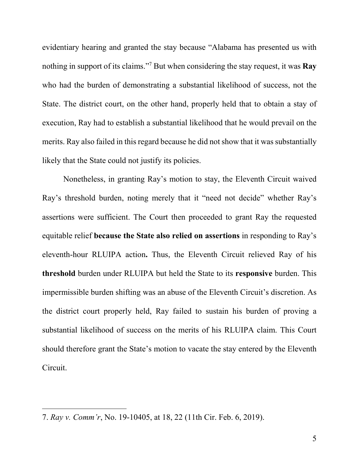evidentiary hearing and granted the stay because "Alabama has presented us with nothing in support of its claims."<sup>7</sup> But when considering the stay request, it was **Ray** who had the burden of demonstrating a substantial likelihood of success, not the State. The district court, on the other hand, properly held that to obtain a stay of execution, Ray had to establish a substantial likelihood that he would prevail on the merits. Ray also failed in this regard because he did not show that it was substantially likely that the State could not justify its policies.

 Nonetheless, in granting Ray's motion to stay, the Eleventh Circuit waived Ray's threshold burden, noting merely that it "need not decide" whether Ray's assertions were sufficient. The Court then proceeded to grant Ray the requested equitable relief **because the State also relied on assertions** in responding to Ray's eleventh-hour RLUIPA action**.** Thus, the Eleventh Circuit relieved Ray of his **threshold** burden under RLUIPA but held the State to its **responsive** burden. This impermissible burden shifting was an abuse of the Eleventh Circuit's discretion. As the district court properly held, Ray failed to sustain his burden of proving a substantial likelihood of success on the merits of his RLUIPA claim. This Court should therefore grant the State's motion to vacate the stay entered by the Eleventh Circuit.

<sup>7.</sup> *Ray v. Comm'r*, No. 19-10405, at 18, 22 (11th Cir. Feb. 6, 2019).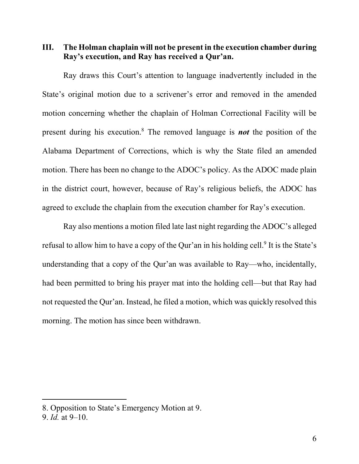**III. The Holman chaplain will not be present in the execution chamber during Ray's execution, and Ray has received a Qur'an.** 

 Ray draws this Court's attention to language inadvertently included in the State's original motion due to a scrivener's error and removed in the amended motion concerning whether the chaplain of Holman Correctional Facility will be present during his execution.<sup>8</sup> The removed language is *not* the position of the Alabama Department of Corrections, which is why the State filed an amended motion. There has been no change to the ADOC's policy. As the ADOC made plain in the district court, however, because of Ray's religious beliefs, the ADOC has agreed to exclude the chaplain from the execution chamber for Ray's execution.

 Ray also mentions a motion filed late last night regarding the ADOC's alleged refusal to allow him to have a copy of the Qur'an in his holding cell.<sup>9</sup> It is the State's understanding that a copy of the Qur'an was available to Ray—who, incidentally, had been permitted to bring his prayer mat into the holding cell—but that Ray had not requested the Qur'an. Instead, he filed a motion, which was quickly resolved this morning. The motion has since been withdrawn.

<sup>8.</sup> Opposition to State's Emergency Motion at 9.

<sup>9.</sup> *Id.* at 9–10.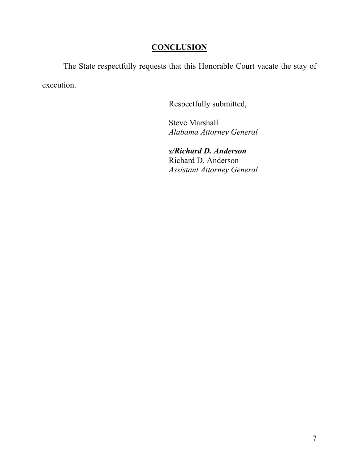# **CONCLUSION**

The State respectfully requests that this Honorable Court vacate the stay of execution.

Respectfully submitted,

 Steve Marshall *Alabama Attorney General* 

# *s/Richard D. Anderson*

 Richard D. Anderson *Assistant Attorney General*